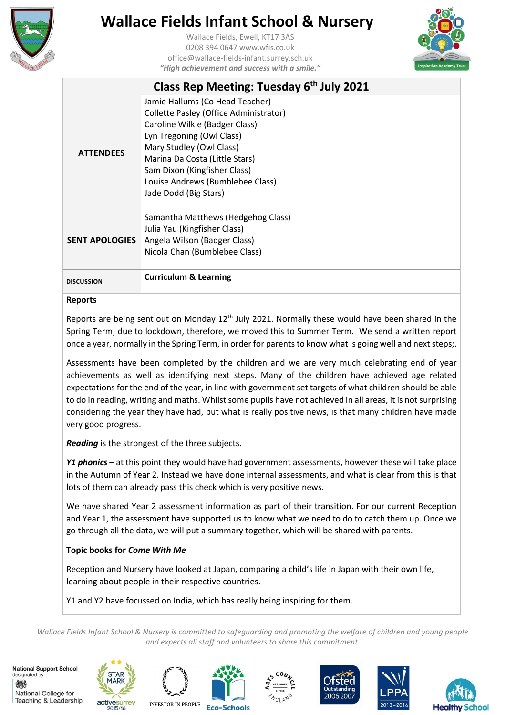

Wallace Fields, Ewell, KT17 3AS 0208 394 0647 www.wfis.co.uk office@wallace-fields-infant.surrey.sch.uk *"High achievement and success with a smile."*



|                       | Class Rep Meeting: Tuesday 6th July 2021                                                                                                                                                                                                                                                            |
|-----------------------|-----------------------------------------------------------------------------------------------------------------------------------------------------------------------------------------------------------------------------------------------------------------------------------------------------|
| <b>ATTENDEES</b>      | Jamie Hallums (Co Head Teacher)<br>Collette Pasley (Office Administrator)<br>Caroline Wilkie (Badger Class)<br>Lyn Tregoning (Owl Class)<br>Mary Studley (Owl Class)<br>Marina Da Costa (Little Stars)<br>Sam Dixon (Kingfisher Class)<br>Louise Andrews (Bumblebee Class)<br>Jade Dodd (Big Stars) |
| <b>SENT APOLOGIES</b> | Samantha Matthews (Hedgehog Class)<br>Julia Yau (Kingfisher Class)<br>Angela Wilson (Badger Class)<br>Nicola Chan (Bumblebee Class)                                                                                                                                                                 |
| <b>DISCUSSION</b>     | <b>Curriculum &amp; Learning</b>                                                                                                                                                                                                                                                                    |

#### **Reports**

Reports are being sent out on Monday  $12<sup>th</sup>$  July 2021. Normally these would have been shared in the Spring Term; due to lockdown, therefore, we moved this to Summer Term. We send a written report once a year, normally in the Spring Term, in order for parents to know what is going well and next steps;.

Assessments have been completed by the children and we are very much celebrating end of year achievements as well as identifying next steps. Many of the children have achieved age related expectations for the end of the year, in line with government set targets of what children should be able to do in reading, writing and maths. Whilst some pupils have not achieved in all areas, it is not surprising considering the year they have had, but what is really positive news, is that many children have made very good progress.

*Reading* is the strongest of the three subjects.

*Y1 phonics* – at this point they would have had government assessments, however these will take place in the Autumn of Year 2. Instead we have done internal assessments, and what is clear from this is that lots of them can already pass this check which is very positive news.

We have shared Year 2 assessment information as part of their transition. For our current Reception and Year 1, the assessment have supported us to know what we need to do to catch them up. Once we go through all the data, we will put a summary together, which will be shared with parents.

### **Topic books for** *Come With Me*

Reception and Nursery have looked at Japan, comparing a child's life in Japan with their own life, learning about people in their respective countries.

Y1 and Y2 have focussed on India, which has really being inspiring for them.

*Wallace Fields Infant School & Nursery is committed to safeguarding and promoting the welfare of children and young people and expects all staff and volunteers to share this commitment.*











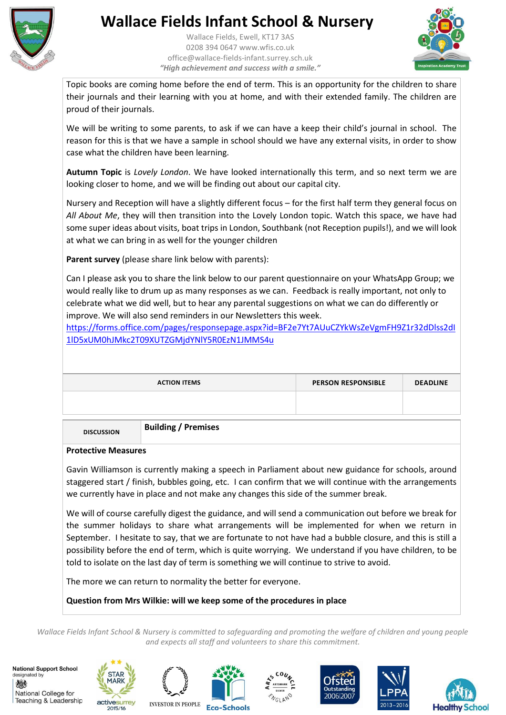

Wallace Fields, Ewell, KT17 3AS 0208 394 0647 www.wfis.co.uk office@wallace-fields-infant.surrey.sch.uk *"High achievement and success with a smile."*



Topic books are coming home before the end of term. This is an opportunity for the children to share their journals and their learning with you at home, and with their extended family. The children are proud of their journals.

We will be writing to some parents, to ask if we can have a keep their child's journal in school. The reason for this is that we have a sample in school should we have any external visits, in order to show case what the children have been learning.

**Autumn Topic** is *Lovely London*. We have looked internationally this term, and so next term we are looking closer to home, and we will be finding out about our capital city.

Nursery and Reception will have a slightly different focus – for the first half term they general focus on *All About Me*, they will then transition into the Lovely London topic. Watch this space, we have had some super ideas about visits, boat trips in London, Southbank (not Reception pupils!), and we will look at what we can bring in as well for the younger children

**Parent survey** (please share link below with parents):

Can I please ask you to share the link below to our parent questionnaire on your WhatsApp Group; we would really like to drum up as many responses as we can. Feedback is really important, not only to celebrate what we did well, but to hear any parental suggestions on what we can do differently or improve. We will also send reminders in our Newsletters this week.

[https://forms.office.com/pages/responsepage.aspx?id=BF2e7Yt7AUuCZYkWsZeVgmFH9Z1r32dDlss2dI](https://forms.office.com/pages/responsepage.aspx?id=BF2e7Yt7AUuCZYkWsZeVgmFH9Z1r32dDlss2dI1lD5xUM0hJMkc2T09XUTZGMjdYNlY5R0EzN1JMMS4u) [1lD5xUM0hJMkc2T09XUTZGMjdYNlY5R0EzN1JMMS4u](https://forms.office.com/pages/responsepage.aspx?id=BF2e7Yt7AUuCZYkWsZeVgmFH9Z1r32dDlss2dI1lD5xUM0hJMkc2T09XUTZGMjdYNlY5R0EzN1JMMS4u)

| <b>ACTION ITEMS</b> | <b>PERSON RESPONSIBLE</b> | <b>DEADLINE</b> |
|---------------------|---------------------------|-----------------|
|                     |                           |                 |

**DISCUSSION Building / Premises**

#### **Protective Measures**

Gavin Williamson is currently making a speech in Parliament about new guidance for schools, around staggered start / finish, bubbles going, etc. I can confirm that we will continue with the arrangements we currently have in place and not make any changes this side of the summer break.

We will of course carefully digest the guidance, and will send a communication out before we break for the summer holidays to share what arrangements will be implemented for when we return in September. I hesitate to say, that we are fortunate to not have had a bubble closure, and this is still a possibility before the end of term, which is quite worrying. We understand if you have children, to be told to isolate on the last day of term is something we will continue to strive to avoid.

The more we can return to normality the better for everyone.

### **Question from Mrs Wilkie: will we keep some of the procedures in place**

*Wallace Fields Infant School & Nursery is committed to safeguarding and promoting the welfare of children and young people and expects all staff and volunteers to share this commitment.*











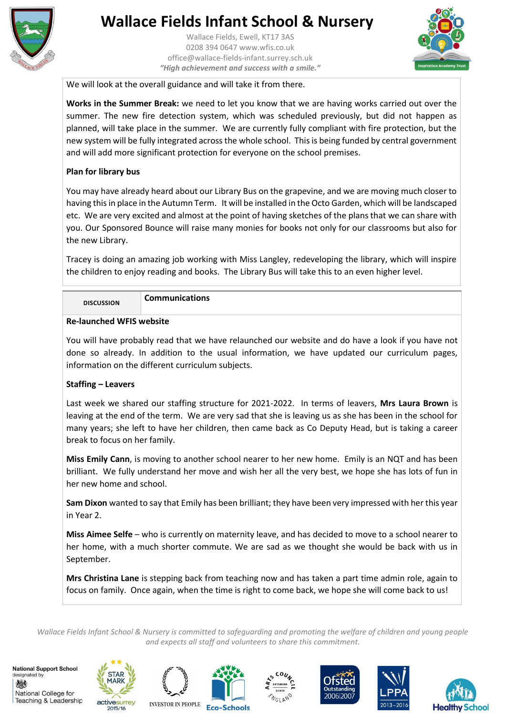

Wallace Fields, Ewell, KT17 3AS 0208 394 0647 www.wfis.co.uk office@wallace-fields-infant.surrey.sch.uk *"High achievement and success with a smile."*



We will look at the overall guidance and will take it from there.

**Works in the Summer Break:** we need to let you know that we are having works carried out over the summer. The new fire detection system, which was scheduled previously, but did not happen as planned, will take place in the summer. We are currently fully compliant with fire protection, but the new system will be fully integrated across the whole school. This is being funded by central government and will add more significant protection for everyone on the school premises.

#### **Plan for library bus**

You may have already heard about our Library Bus on the grapevine, and we are moving much closer to having this in place in the Autumn Term. It will be installed in the Octo Garden, which will be landscaped etc. We are very excited and almost at the point of having sketches of the plans that we can share with you. Our Sponsored Bounce will raise many monies for books not only for our classrooms but also for the new Library.

Tracey is doing an amazing job working with Miss Langley, redeveloping the library, which will inspire the children to enjoy reading and books. The Library Bus will take this to an even higher level.

**DISCUSSION Communications** 

### **Re-launched WFIS website**

You will have probably read that we have relaunched our website and do have a look if you have not done so already. In addition to the usual information, we have updated our curriculum pages, information on the different curriculum subjects.

#### **Staffing – Leavers**

Last week we shared our staffing structure for 2021-2022. In terms of leavers, **Mrs Laura Brown** is leaving at the end of the term. We are very sad that she is leaving us as she has been in the school for many years; she left to have her children, then came back as Co Deputy Head, but is taking a career break to focus on her family.

**Miss Emily Cann**, is moving to another school nearer to her new home. Emily is an NQT and has been brilliant. We fully understand her move and wish her all the very best, we hope she has lots of fun in her new home and school.

**Sam Dixon** wanted to say that Emily has been brilliant; they have been very impressed with her this year in Year 2.

**Miss Aimee Selfe** – who is currently on maternity leave, and has decided to move to a school nearer to her home, with a much shorter commute. We are sad as we thought she would be back with us in September.

**Mrs Christina Lane** is stepping back from teaching now and has taken a part time admin role, again to focus on family. Once again, when the time is right to come back, we hope she will come back to us!

*Wallace Fields Infant School & Nursery is committed to safeguarding and promoting the welfare of children and young people and expects all staff and volunteers to share this commitment.*











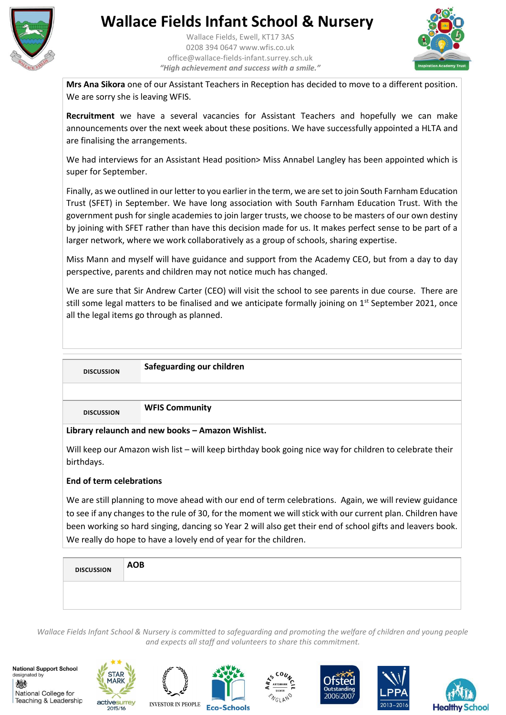

Wallace Fields, Ewell, KT17 3AS 0208 394 0647 www.wfis.co.uk office@wallace-fields-infant.surrey.sch.uk *"High achievement and success with a smile."*



**Mrs Ana Sikora** one of our Assistant Teachers in Reception has decided to move to a different position. We are sorry she is leaving WFIS.

**Recruitment** we have a several vacancies for Assistant Teachers and hopefully we can make announcements over the next week about these positions. We have successfully appointed a HLTA and are finalising the arrangements.

We had interviews for an Assistant Head position> Miss Annabel Langley has been appointed which is super for September.

Finally, as we outlined in our letter to you earlier in the term, we are set to join South Farnham Education Trust (SFET) in September. We have long association with South Farnham Education Trust. With the government push for single academies to join larger trusts, we choose to be masters of our own destiny by joining with SFET rather than have this decision made for us. It makes perfect sense to be part of a larger network, where we work collaboratively as a group of schools, sharing expertise.

Miss Mann and myself will have guidance and support from the Academy CEO, but from a day to day perspective, parents and children may not notice much has changed.

We are sure that Sir Andrew Carter (CEO) will visit the school to see parents in due course. There are still some legal matters to be finalised and we anticipate formally joining on 1<sup>st</sup> September 2021, once all the legal items go through as planned.

| <b>DISCUSSION</b>                                 | Safeguarding our children |  |
|---------------------------------------------------|---------------------------|--|
|                                                   |                           |  |
| <b>DISCUSSION</b>                                 | <b>WFIS Community</b>     |  |
| Library relaunch and new books - Amazon Wishlist. |                           |  |

Will keep our Amazon wish list – will keep birthday book going nice way for children to celebrate their birthdays.

### **End of term celebrations**

We are still planning to move ahead with our end of term celebrations. Again, we will review guidance to see if any changes to the rule of 30, for the moment we will stick with our current plan. Children have been working so hard singing, dancing so Year 2 will also get their end of school gifts and leavers book. We really do hope to have a lovely end of year for the children.

| <b>DISCUSSION</b> | <b>AOB</b> |  |  |  |
|-------------------|------------|--|--|--|
|                   |            |  |  |  |
|                   |            |  |  |  |

*Wallace Fields Infant School & Nursery is committed to safeguarding and promoting the welfare of children and young people and expects all staff and volunteers to share this commitment.*